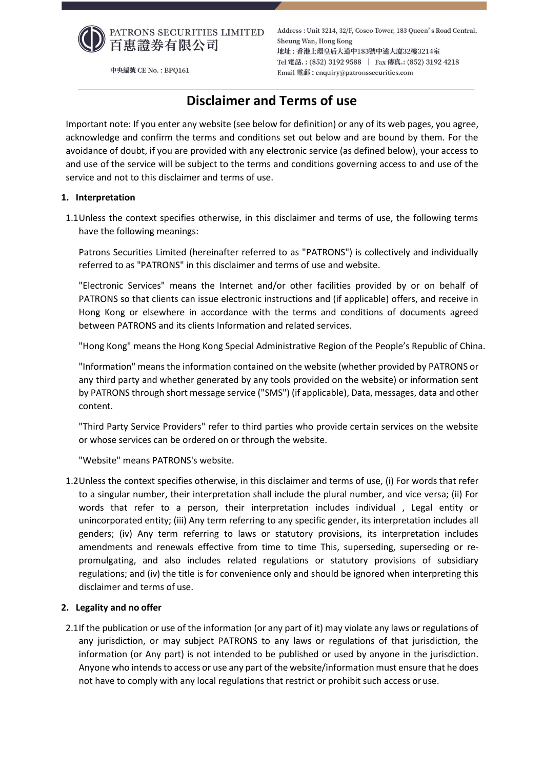

Address: Unit 3214, 32/F, Cosco Tower, 183 Queen's Road Central, Sheung Wan, Hong Kong 地址:香港上環皇后大道中183號中遠大廈32樓3214室 Tel 電話.: (852) 3192 9588 | Fax 傳真.: (852) 3192 4218 Email 電郵: enquiry@patronssecurities.com

# **Disclaimer and Terms of use**

Important note: If you enter any website (see below for definition) or any of its web pages, you agree, acknowledge and confirm the terms and conditions set out below and are bound by them. For the avoidance of doubt, if you are provided with any electronic service (as defined below), your access to and use of the service will be subject to the terms and conditions governing access to and use of the service and not to this disclaimer and terms of use.

# **1. Interpretation**

1.1Unless the context specifies otherwise, in this disclaimer and terms of use, the following terms have the following meanings:

Patrons Securities Limited (hereinafter referred to as "PATRONS") is collectively and individually referred to as "PATRONS" in this disclaimer and terms of use and website.

"Electronic Services" means the Internet and/or other facilities provided by or on behalf of PATRONS so that clients can issue electronic instructions and (if applicable) offers, and receive in Hong Kong or elsewhere in accordance with the terms and conditions of documents agreed between PATRONS and its clients Information and related services.

"Hong Kong" means the Hong Kong Special Administrative Region of the People's Republic of China.

"Information" means the information contained on the website (whether provided by PATRONS or any third party and whether generated by any tools provided on the website) or information sent by PATRONS through short message service ("SMS") (if applicable), Data, messages, data and other content.

"Third Party Service Providers" refer to third parties who provide certain services on the website or whose services can be ordered on or through the website.

"Website" means PATRONS's website.

1.2Unless the context specifies otherwise, in this disclaimer and terms of use, (i) For words that refer to a singular number, their interpretation shall include the plural number, and vice versa; (ii) For words that refer to a person, their interpretation includes individual , Legal entity or unincorporated entity; (iii) Any term referring to any specific gender, its interpretation includes all genders; (iv) Any term referring to laws or statutory provisions, its interpretation includes amendments and renewals effective from time to time This, superseding, superseding or repromulgating, and also includes related regulations or statutory provisions of subsidiary regulations; and (iv) the title is for convenience only and should be ignored when interpreting this disclaimer and terms of use.

# **2. Legality and no offer**

2.1If the publication or use of the information (or any part of it) may violate any laws or regulations of any jurisdiction, or may subject PATRONS to any laws or regulations of that jurisdiction, the information (or Any part) is not intended to be published or used by anyone in the jurisdiction. Anyone who intends to access or use any part of the website/information must ensure that he does not have to comply with any local regulations that restrict or prohibit such access or use.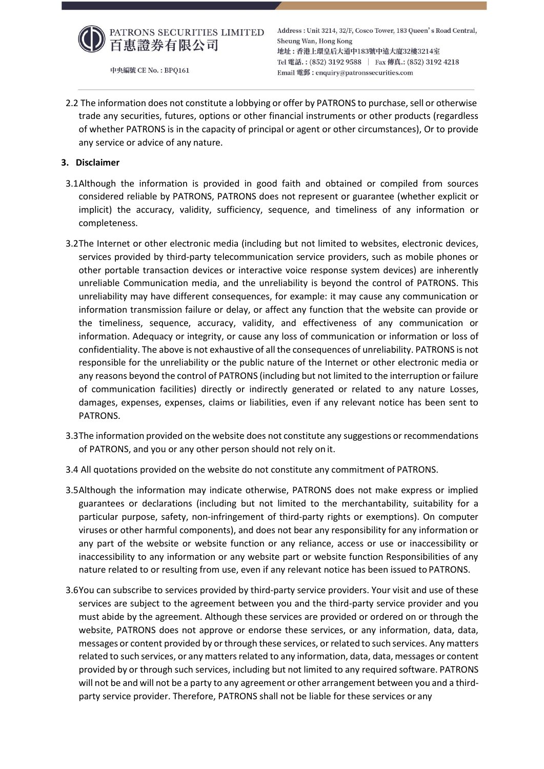

Address: Unit 3214, 32/F, Cosco Tower, 183 Queen's Road Central, Sheung Wan, Hong Kong 地址:香港上環皇后大道中183號中遠大廈32樓3214室 Tel 電話.: (852) 3192 9588 | Fax 傳真.: (852) 3192 4218 Email 電郵: enquiry@patronssecurities.com

2.2 The information does not constitute a lobbying or offer by PATRONS to purchase, sell or otherwise trade any securities, futures, options or other financial instruments or other products (regardless of whether PATRONS is in the capacity of principal or agent or other circumstances), Or to provide any service or advice of any nature.

# **3. Disclaimer**

- 3.1Although the information is provided in good faith and obtained or compiled from sources considered reliable by PATRONS, PATRONS does not represent or guarantee (whether explicit or implicit) the accuracy, validity, sufficiency, sequence, and timeliness of any information or completeness.
- 3.2The Internet or other electronic media (including but not limited to websites, electronic devices, services provided by third-party telecommunication service providers, such as mobile phones or other portable transaction devices or interactive voice response system devices) are inherently unreliable Communication media, and the unreliability is beyond the control of PATRONS. This unreliability may have different consequences, for example: it may cause any communication or information transmission failure or delay, or affect any function that the website can provide or the timeliness, sequence, accuracy, validity, and effectiveness of any communication or information. Adequacy or integrity, or cause any loss of communication or information or loss of confidentiality. The above is not exhaustive of all the consequences of unreliability. PATRONS is not responsible for the unreliability or the public nature of the Internet or other electronic media or any reasons beyond the control of PATRONS (including but not limited to the interruption or failure of communication facilities) directly or indirectly generated or related to any nature Losses, damages, expenses, expenses, claims or liabilities, even if any relevant notice has been sent to PATRONS.
- 3.3The information provided on the website does not constitute any suggestions or recommendations of PATRONS, and you or any other person should not rely on it.
- 3.4 All quotations provided on the website do not constitute any commitment of PATRONS.
- 3.5Although the information may indicate otherwise, PATRONS does not make express or implied guarantees or declarations (including but not limited to the merchantability, suitability for a particular purpose, safety, non-infringement of third-party rights or exemptions). On computer viruses or other harmful components), and does not bear any responsibility for any information or any part of the website or website function or any reliance, access or use or inaccessibility or inaccessibility to any information or any website part or website function Responsibilities of any nature related to or resulting from use, even if any relevant notice has been issued to PATRONS.
- 3.6You can subscribe to services provided by third-party service providers. Your visit and use of these services are subject to the agreement between you and the third-party service provider and you must abide by the agreement. Although these services are provided or ordered on or through the website, PATRONS does not approve or endorse these services, or any information, data, data, messages or content provided by or through these services, or related to such services. Any matters related to such services, or any matters related to any information, data, data, messages or content provided by or through such services, including but not limited to any required software. PATRONS will not be and will not be a party to any agreement or other arrangement between you and a thirdparty service provider. Therefore, PATRONS shall not be liable for these services or any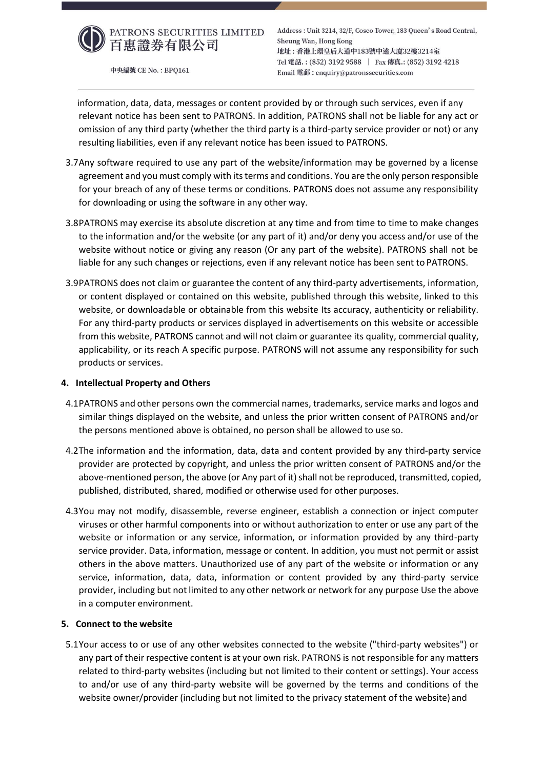

Address: Unit 3214, 32/F, Cosco Tower, 183 Queen's Road Central, Sheung Wan, Hong Kong 地址:香港上環皇后大道中183號中遠大廈32樓3214室 Tel 電話.: (852) 3192 9588 | Fax 傳真.: (852) 3192 4218 Email 電郵: enquiry@patronssecurities.com

information, data, data, messages or content provided by or through such services, even if any relevant notice has been sent to PATRONS. In addition, PATRONS shall not be liable for any act or omission of any third party (whether the third party is a third-party service provider or not) or any resulting liabilities, even if any relevant notice has been issued to PATRONS.

- 3.7Any software required to use any part of the website/information may be governed by a license agreement and you must comply with its terms and conditions. You are the only person responsible for your breach of any of these terms or conditions. PATRONS does not assume any responsibility for downloading or using the software in any other way.
- 3.8PATRONS may exercise its absolute discretion at any time and from time to time to make changes to the information and/or the website (or any part of it) and/or deny you access and/or use of the website without notice or giving any reason (Or any part of the website). PATRONS shall not be liable for any such changes or rejections, even if any relevant notice has been sent to PATRONS.
- 3.9PATRONS does not claim or guarantee the content of any third-party advertisements, information, or content displayed or contained on this website, published through this website, linked to this website, or downloadable or obtainable from this website Its accuracy, authenticity or reliability. For any third-party products or services displayed in advertisements on this website or accessible from this website, PATRONS cannot and will not claim or guarantee its quality, commercial quality, applicability, or its reach A specific purpose. PATRONS will not assume any responsibility for such products or services.

# **4. Intellectual Property and Others**

- 4.1PATRONS and other persons own the commercial names, trademarks, service marks and logos and similar things displayed on the website, and unless the prior written consent of PATRONS and/or the persons mentioned above is obtained, no person shall be allowed to use so.
- 4.2The information and the information, data, data and content provided by any third-party service provider are protected by copyright, and unless the prior written consent of PATRONS and/or the above-mentioned person, the above (or Any part of it) shall not be reproduced, transmitted, copied, published, distributed, shared, modified or otherwise used for other purposes.
- 4.3You may not modify, disassemble, reverse engineer, establish a connection or inject computer viruses or other harmful components into or without authorization to enter or use any part of the website or information or any service, information, or information provided by any third-party service provider. Data, information, message or content. In addition, you must not permit or assist others in the above matters. Unauthorized use of any part of the website or information or any service, information, data, data, information or content provided by any third-party service provider, including but not limited to any other network or network for any purpose Use the above in a computer environment.

# **5. Connect to the website**

5.1Your access to or use of any other websites connected to the website ("third-party websites") or any part of their respective content is at your own risk. PATRONS is not responsible for any matters related to third-party websites (including but not limited to their content or settings). Your access to and/or use of any third-party website will be governed by the terms and conditions of the website owner/provider (including but not limited to the privacy statement of the website) and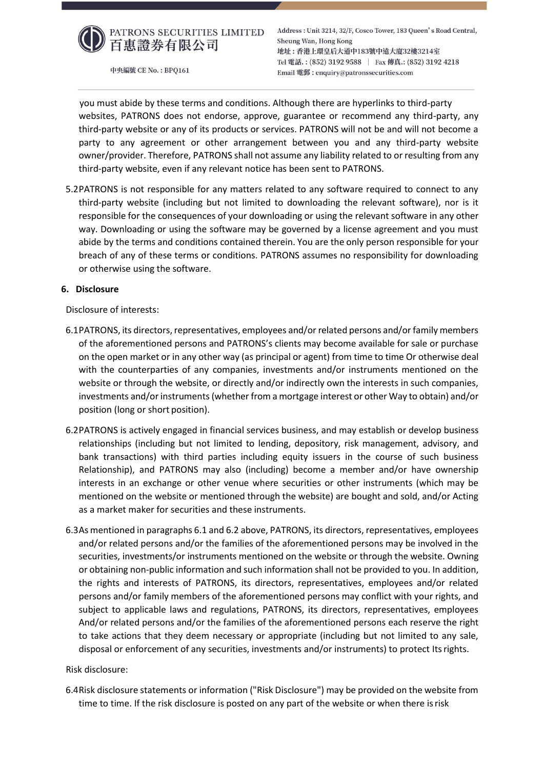

Address: Unit 3214, 32/F, Cosco Tower, 183 Queen's Road Central, Sheung Wan, Hong Kong 地址:香港上環皇后大道中183號中遠大廈32樓3214室 Tel 電話.: (852) 3192 9588 | Fax 傳真.: (852) 3192 4218 Email 電郵: enquiry@patronssecurities.com

you must abide by these terms and conditions. Although there are hyperlinks to third-party websites, PATRONS does not endorse, approve, guarantee or recommend any third-party, any third-party website or any of its products or services. PATRONS will not be and will not become a party to any agreement or other arrangement between you and any third-party website owner/provider. Therefore, PATRONS shall not assume any liability related to or resulting from any third-party website, even if any relevant notice has been sent to PATRONS.

5.2PATRONS is not responsible for any matters related to any software required to connect to any third-party website (including but not limited to downloading the relevant software), nor is it responsible for the consequences of your downloading or using the relevant software in any other way. Downloading or using the software may be governed by a license agreement and you must abide by the terms and conditions contained therein. You are the only person responsible for your breach of any of these terms or conditions. PATRONS assumes no responsibility for downloading or otherwise using the software.

#### **6. Disclosure**

Disclosure of interests:

- 6.1PATRONS, its directors, representatives, employees and/or related persons and/or family members of the aforementioned persons and PATRONS's clients may become available for sale or purchase on the open market or in any other way (as principal or agent) from time to time Or otherwise deal with the counterparties of any companies, investments and/or instruments mentioned on the website or through the website, or directly and/or indirectly own the interests in such companies, investments and/or instruments (whether from a mortgage interest or other Way to obtain) and/or position (long or short position).
- 6.2PATRONS is actively engaged in financial services business, and may establish or develop business relationships (including but not limited to lending, depository, risk management, advisory, and bank transactions) with third parties including equity issuers in the course of such business Relationship), and PATRONS may also (including) become a member and/or have ownership interests in an exchange or other venue where securities or other instruments (which may be mentioned on the website or mentioned through the website) are bought and sold, and/or Acting as a market maker for securities and these instruments.
- 6.3As mentioned in paragraphs 6.1 and 6.2 above, PATRONS, its directors, representatives, employees and/or related persons and/or the families of the aforementioned persons may be involved in the securities, investments/or instruments mentioned on the website or through the website. Owning or obtaining non-public information and such information shall not be provided to you. In addition, the rights and interests of PATRONS, its directors, representatives, employees and/or related persons and/or family members of the aforementioned persons may conflict with your rights, and subject to applicable laws and regulations, PATRONS, its directors, representatives, employees And/or related persons and/or the families of the aforementioned persons each reserve the right to take actions that they deem necessary or appropriate (including but not limited to any sale, disposal or enforcement of any securities, investments and/or instruments) to protect Itsrights.

#### Risk disclosure:

6.4Risk disclosure statements or information ("Risk Disclosure") may be provided on the website from time to time. If the risk disclosure is posted on any part of the website or when there is risk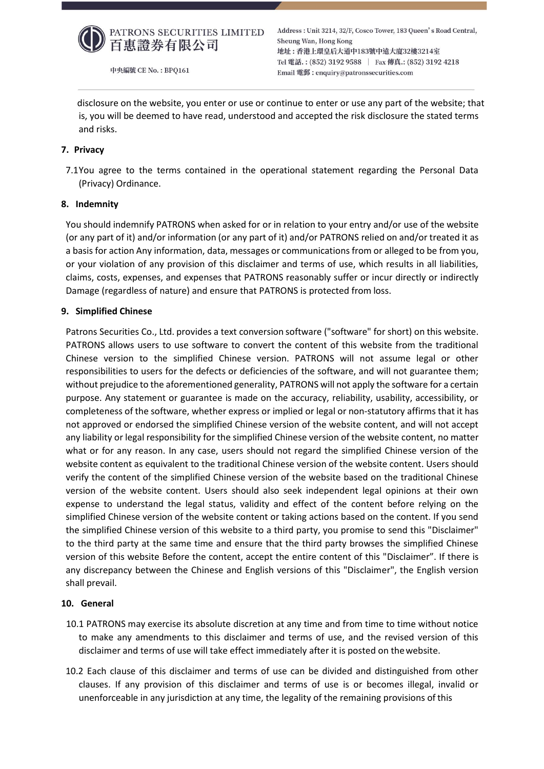

Address: Unit 3214, 32/F, Cosco Tower, 183 Queen's Road Central, Sheung Wan, Hong Kong 地址:香港上環皇后大道中183號中遠大廈32樓3214室 Tel 電話.: (852) 3192 9588 | Fax 傳真.: (852) 3192 4218 Email 電郵: enquiry@patronssecurities.com

disclosure on the website, you enter or use or continue to enter or use any part of the website; that is, you will be deemed to have read, understood and accepted the risk disclosure the stated terms and risks.

# **7. Privacy**

7.1You agree to the terms contained in the operational statement regarding the Personal Data (Privacy) Ordinance.

# **8. Indemnity**

You should indemnify PATRONS when asked for or in relation to your entry and/or use of the website (or any part of it) and/or information (or any part of it) and/or PATRONS relied on and/or treated it as a basis for action Any information, data, messages or communications from or alleged to be from you, or your violation of any provision of this disclaimer and terms of use, which results in all liabilities, claims, costs, expenses, and expenses that PATRONS reasonably suffer or incur directly or indirectly Damage (regardless of nature) and ensure that PATRONS is protected from loss.

# **9. Simplified Chinese**

Patrons Securities Co., Ltd. provides a text conversion software ("software" for short) on this website. PATRONS allows users to use software to convert the content of this website from the traditional Chinese version to the simplified Chinese version. PATRONS will not assume legal or other responsibilities to users for the defects or deficiencies of the software, and will not guarantee them; without prejudice to the aforementioned generality, PATRONS will not apply the software for a certain purpose. Any statement or guarantee is made on the accuracy, reliability, usability, accessibility, or completeness of the software, whether express or implied or legal or non-statutory affirms that it has not approved or endorsed the simplified Chinese version of the website content, and will not accept any liability or legal responsibility for the simplified Chinese version of the website content, no matter what or for any reason. In any case, users should not regard the simplified Chinese version of the website content as equivalent to the traditional Chinese version of the website content. Users should verify the content of the simplified Chinese version of the website based on the traditional Chinese version of the website content. Users should also seek independent legal opinions at their own expense to understand the legal status, validity and effect of the content before relying on the simplified Chinese version of the website content or taking actions based on the content. If you send the simplified Chinese version of this website to a third party, you promise to send this "Disclaimer" to the third party at the same time and ensure that the third party browses the simplified Chinese version of this website Before the content, accept the entire content of this "Disclaimer". If there is any discrepancy between the Chinese and English versions of this "Disclaimer", the English version shall prevail.

# **10. General**

- 10.1 PATRONS may exercise its absolute discretion at any time and from time to time without notice to make any amendments to this disclaimer and terms of use, and the revised version of this disclaimer and terms of use will take effect immediately after it is posted on thewebsite.
- 10.2 Each clause of this disclaimer and terms of use can be divided and distinguished from other clauses. If any provision of this disclaimer and terms of use is or becomes illegal, invalid or unenforceable in any jurisdiction at any time, the legality of the remaining provisions of this